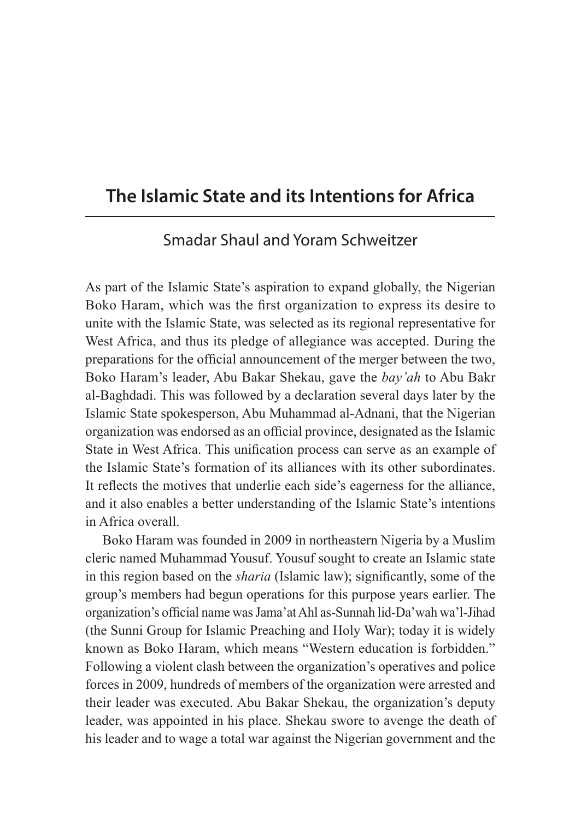## **The Islamic State and its Intentions for Africa**

## Smadar Shaul and Yoram Schweitzer

As part of the Islamic State's aspiration to expand globally, the Nigerian Boko Haram, which was the first organization to express its desire to unite with the Islamic State, was selected as its regional representative for West Africa, and thus its pledge of allegiance was accepted. During the preparations for the official announcement of the merger between the two, Boko Haram's leader, Abu Bakar Shekau, gave the *bay'ah* to Abu Bakr al-Baghdadi. This was followed by a declaration several days later by the Islamic State spokesperson, Abu Muhammad al-Adnani, that the Nigerian organization was endorsed as an official province, designated as the Islamic State in West Africa. This unification process can serve as an example of the Islamic State's formation of its alliances with its other subordinates. It reflects the motives that underlie each side's eagerness for the alliance, and it also enables a better understanding of the Islamic State's intentions in Africa overall.

Boko Haram was founded in 2009 in northeastern Nigeria by a Muslim cleric named Muhammad Yousuf. Yousuf sought to create an Islamic state in this region based on the *sharia* (Islamic law); significantly, some of the group's members had begun operations for this purpose years earlier. The organization's official name was Jama'at Ahl as-Sunnah lid-Da'wah wa'l-Jihad (the Sunni Group for Islamic Preaching and Holy War); today it is widely known as Boko Haram, which means "Western education is forbidden." Following a violent clash between the organization's operatives and police forces in 2009, hundreds of members of the organization were arrested and their leader was executed. Abu Bakar Shekau, the organization's deputy leader, was appointed in his place. Shekau swore to avenge the death of his leader and to wage a total war against the Nigerian government and the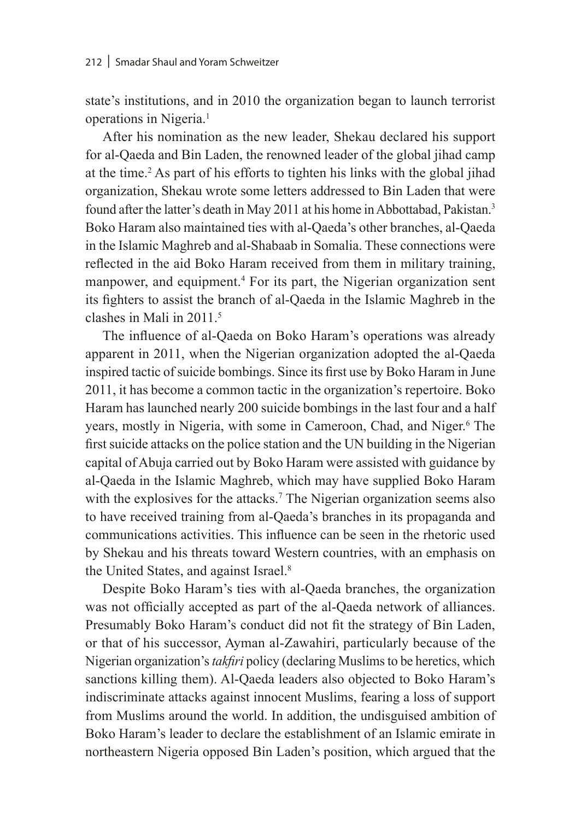state's institutions, and in 2010 the organization began to launch terrorist operations in Nigeria.<sup>1</sup>

After his nomination as the new leader, Shekau declared his support for al-Qaeda and Bin Laden, the renowned leader of the global jihad camp at the time.2 As part of his efforts to tighten his links with the global jihad organization, Shekau wrote some letters addressed to Bin Laden that were found after the latter's death in May 2011 at his home in Abbottabad, Pakistan.3 Boko Haram also maintained ties with al-Qaeda's other branches, al-Qaeda in the Islamic Maghreb and al-Shabaab in Somalia. These connections were reflected in the aid Boko Haram received from them in military training, manpower, and equipment.<sup>4</sup> For its part, the Nigerian organization sent its fighters to assist the branch of al-Qaeda in the Islamic Maghreb in the clashes in Mali in 2011.5

The influence of al-Qaeda on Boko Haram's operations was already apparent in 2011, when the Nigerian organization adopted the al-Qaeda inspired tactic of suicide bombings. Since its first use by Boko Haram in June 2011, it has become a common tactic in the organization's repertoire. Boko Haram has launched nearly 200 suicide bombings in the last four and a half years, mostly in Nigeria, with some in Cameroon, Chad, and Niger.<sup>6</sup> The first suicide attacks on the police station and the UN building in the Nigerian capital of Abuja carried out by Boko Haram were assisted with guidance by al-Qaeda in the Islamic Maghreb, which may have supplied Boko Haram with the explosives for the attacks.<sup>7</sup> The Nigerian organization seems also to have received training from al-Qaeda's branches in its propaganda and communications activities. This influence can be seen in the rhetoric used by Shekau and his threats toward Western countries, with an emphasis on the United States, and against Israel.<sup>8</sup>

Despite Boko Haram's ties with al-Qaeda branches, the organization was not officially accepted as part of the al-Qaeda network of alliances. Presumably Boko Haram's conduct did not fit the strategy of Bin Laden, or that of his successor, Ayman al-Zawahiri, particularly because of the Nigerian organization's *takfiri* policy (declaring Muslims to be heretics, which sanctions killing them). Al-Qaeda leaders also objected to Boko Haram's indiscriminate attacks against innocent Muslims, fearing a loss of support from Muslims around the world. In addition, the undisguised ambition of Boko Haram's leader to declare the establishment of an Islamic emirate in northeastern Nigeria opposed Bin Laden's position, which argued that the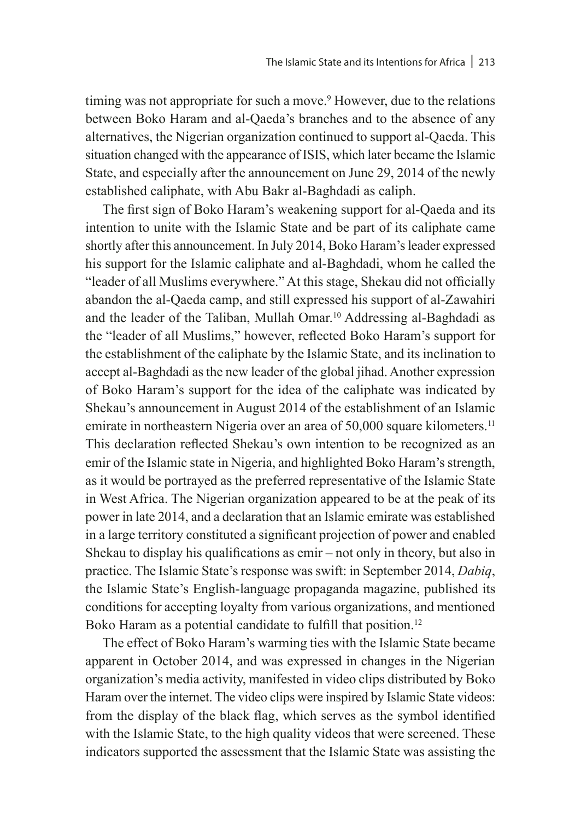timing was not appropriate for such a move.<sup>9</sup> However, due to the relations between Boko Haram and al-Qaeda's branches and to the absence of any alternatives, the Nigerian organization continued to support al-Qaeda. This situation changed with the appearance of ISIS, which later became the Islamic State, and especially after the announcement on June 29, 2014 of the newly established caliphate, with Abu Bakr al-Baghdadi as caliph.

The first sign of Boko Haram's weakening support for al-Qaeda and its intention to unite with the Islamic State and be part of its caliphate came shortly after this announcement. In July 2014, Boko Haram's leader expressed his support for the Islamic caliphate and al-Baghdadi, whom he called the "leader of all Muslims everywhere." At this stage, Shekau did not officially abandon the al-Qaeda camp, and still expressed his support of al-Zawahiri and the leader of the Taliban, Mullah Omar.10 Addressing al-Baghdadi as the "leader of all Muslims," however, reflected Boko Haram's support for the establishment of the caliphate by the Islamic State, and its inclination to accept al-Baghdadi as the new leader of the global jihad. Another expression of Boko Haram's support for the idea of the caliphate was indicated by Shekau's announcement in August 2014 of the establishment of an Islamic emirate in northeastern Nigeria over an area of 50,000 square kilometers.<sup>11</sup> This declaration reflected Shekau's own intention to be recognized as an emir of the Islamic state in Nigeria, and highlighted Boko Haram's strength, as it would be portrayed as the preferred representative of the Islamic State in West Africa. The Nigerian organization appeared to be at the peak of its power in late 2014, and a declaration that an Islamic emirate was established in a large territory constituted a significant projection of power and enabled Shekau to display his qualifications as emir – not only in theory, but also in practice. The Islamic State's response was swift: in September 2014, *Dabiq*, the Islamic State's English-language propaganda magazine, published its conditions for accepting loyalty from various organizations, and mentioned Boko Haram as a potential candidate to fulfill that position.<sup>12</sup>

The effect of Boko Haram's warming ties with the Islamic State became apparent in October 2014, and was expressed in changes in the Nigerian organization's media activity, manifested in video clips distributed by Boko Haram over the internet. The video clips were inspired by Islamic State videos: from the display of the black flag, which serves as the symbol identified with the Islamic State, to the high quality videos that were screened. These indicators supported the assessment that the Islamic State was assisting the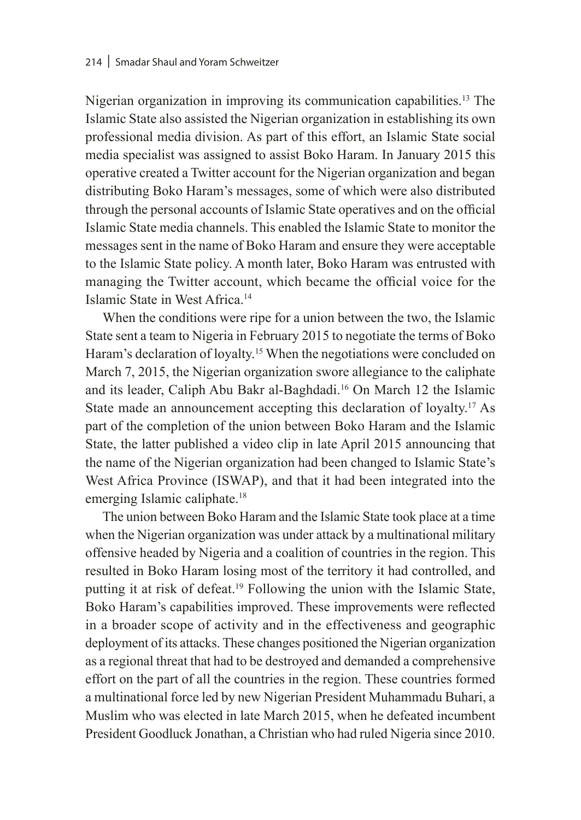Nigerian organization in improving its communication capabilities.13 The Islamic State also assisted the Nigerian organization in establishing its own professional media division. As part of this effort, an Islamic State social media specialist was assigned to assist Boko Haram. In January 2015 this operative created a Twitter account for the Nigerian organization and began distributing Boko Haram's messages, some of which were also distributed through the personal accounts of Islamic State operatives and on the official Islamic State media channels. This enabled the Islamic State to monitor the messages sent in the name of Boko Haram and ensure they were acceptable to the Islamic State policy. A month later, Boko Haram was entrusted with managing the Twitter account, which became the official voice for the Islamic State in West Africa.14

When the conditions were ripe for a union between the two, the Islamic State sent a team to Nigeria in February 2015 to negotiate the terms of Boko Haram's declaration of loyalty.<sup>15</sup> When the negotiations were concluded on March 7, 2015, the Nigerian organization swore allegiance to the caliphate and its leader, Caliph Abu Bakr al-Baghdadi.16 On March 12 the Islamic State made an announcement accepting this declaration of loyalty.17 As part of the completion of the union between Boko Haram and the Islamic State, the latter published a video clip in late April 2015 announcing that the name of the Nigerian organization had been changed to Islamic State's West Africa Province (ISWAP), and that it had been integrated into the emerging Islamic caliphate.<sup>18</sup>

The union between Boko Haram and the Islamic State took place at a time when the Nigerian organization was under attack by a multinational military offensive headed by Nigeria and a coalition of countries in the region. This resulted in Boko Haram losing most of the territory it had controlled, and putting it at risk of defeat.19 Following the union with the Islamic State, Boko Haram's capabilities improved. These improvements were reflected in a broader scope of activity and in the effectiveness and geographic deployment of its attacks. These changes positioned the Nigerian organization as a regional threat that had to be destroyed and demanded a comprehensive effort on the part of all the countries in the region. These countries formed a multinational force led by new Nigerian President Muhammadu Buhari, a Muslim who was elected in late March 2015, when he defeated incumbent President Goodluck Jonathan, a Christian who had ruled Nigeria since 2010.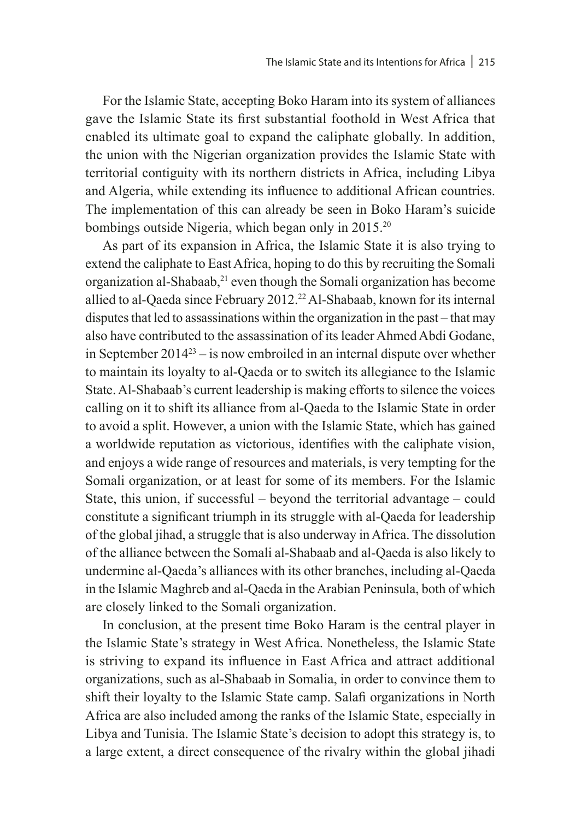For the Islamic State, accepting Boko Haram into its system of alliances gave the Islamic State its first substantial foothold in West Africa that enabled its ultimate goal to expand the caliphate globally. In addition, the union with the Nigerian organization provides the Islamic State with territorial contiguity with its northern districts in Africa, including Libya and Algeria, while extending its influence to additional African countries. The implementation of this can already be seen in Boko Haram's suicide bombings outside Nigeria, which began only in 2015.20

As part of its expansion in Africa, the Islamic State it is also trying to extend the caliphate to East Africa, hoping to do this by recruiting the Somali organization al-Shabaab,<sup>21</sup> even though the Somali organization has become allied to al-Qaeda since February 2012.<sup>22</sup> Al-Shabaab, known for its internal disputes that led to assassinations within the organization in the past – that may also have contributed to the assassination of its leader Ahmed Abdi Godane, in September  $2014^{23}$  – is now embroiled in an internal dispute over whether to maintain its loyalty to al-Qaeda or to switch its allegiance to the Islamic State. Al-Shabaab's current leadership is making efforts to silence the voices calling on it to shift its alliance from al-Qaeda to the Islamic State in order to avoid a split. However, a union with the Islamic State, which has gained a worldwide reputation as victorious, identifies with the caliphate vision, and enjoys a wide range of resources and materials, is very tempting for the Somali organization, or at least for some of its members. For the Islamic State, this union, if successful – beyond the territorial advantage – could constitute a significant triumph in its struggle with al-Qaeda for leadership of the global jihad, a struggle that is also underway in Africa. The dissolution of the alliance between the Somali al-Shabaab and al-Qaeda is also likely to undermine al-Qaeda's alliances with its other branches, including al-Qaeda in the Islamic Maghreb and al-Qaeda in the Arabian Peninsula, both of which are closely linked to the Somali organization.

In conclusion, at the present time Boko Haram is the central player in the Islamic State's strategy in West Africa. Nonetheless, the Islamic State is striving to expand its influence in East Africa and attract additional organizations, such as al-Shabaab in Somalia, in order to convince them to shift their loyalty to the Islamic State camp. Salafi organizations in North Africa are also included among the ranks of the Islamic State, especially in Libya and Tunisia. The Islamic State's decision to adopt this strategy is, to a large extent, a direct consequence of the rivalry within the global jihadi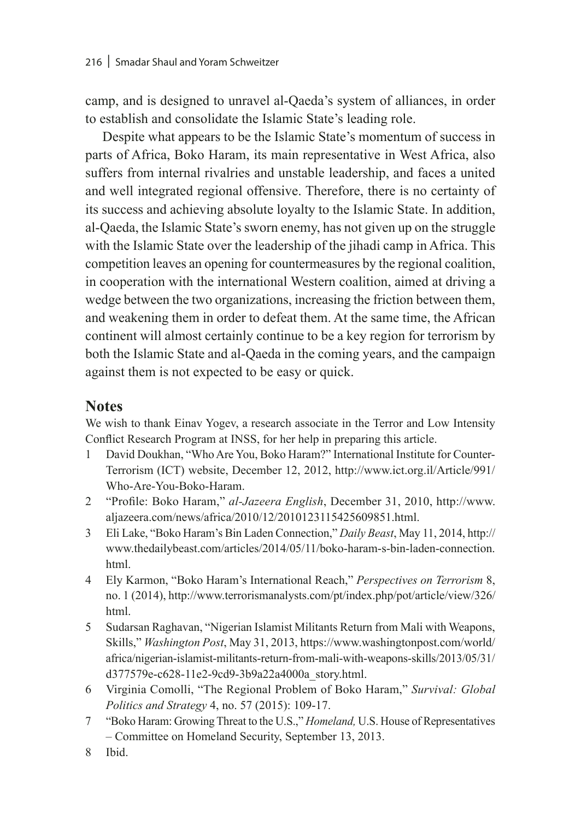camp, and is designed to unravel al-Qaeda's system of alliances, in order to establish and consolidate the Islamic State's leading role.

Despite what appears to be the Islamic State's momentum of success in parts of Africa, Boko Haram, its main representative in West Africa, also suffers from internal rivalries and unstable leadership, and faces a united and well integrated regional offensive. Therefore, there is no certainty of its success and achieving absolute loyalty to the Islamic State. In addition, al-Qaeda, the Islamic State's sworn enemy, has not given up on the struggle with the Islamic State over the leadership of the jihadi camp in Africa. This competition leaves an opening for countermeasures by the regional coalition, in cooperation with the international Western coalition, aimed at driving a wedge between the two organizations, increasing the friction between them, and weakening them in order to defeat them. At the same time, the African continent will almost certainly continue to be a key region for terrorism by both the Islamic State and al-Qaeda in the coming years, and the campaign against them is not expected to be easy or quick.

## **Notes**

We wish to thank Einav Yogev, a research associate in the Terror and Low Intensity Conflict Research Program at INSS, for her help in preparing this article.

- 1 David Doukhan, "Who Are You, Boko Haram?" International Institute for Counter-Terrorism (ICT) website, December 12, 2012, http://www.ict.org.il/Article/991/ Who-Are-You-Boko-Haram.
- 2 "Profile: Boko Haram," *al-Jazeera English*, December 31, 2010, http://www. aljazeera.com/news/africa/2010/12/2010123115425609851.html.
- 3 Eli Lake, "Boko Haram's Bin Laden Connection," *Daily Beast*, May 11, 2014, http:// www.thedailybeast.com/articles/2014/05/11/boko-haram-s-bin-laden-connection. html.
- 4 Ely Karmon, "Boko Haram's International Reach," *Perspectives on Terrorism* 8, no. 1 (2014), http://www.terrorismanalysts.com/pt/index.php/pot/article/view/326/ html.
- 5 Sudarsan Raghavan, "Nigerian Islamist Militants Return from Mali with Weapons, Skills," *Washington Post*, May 31, 2013, https://www.washingtonpost.com/world/ africa/nigerian-islamist-militants-return-from-mali-with-weapons-skills/2013/05/31/ d377579e-c628-11e2-9cd9-3b9a22a4000a\_story.html.
- 6 Virginia Comolli, "The Regional Problem of Boko Haram," *Survival: Global Politics and Strategy* 4, no. 57 (2015): 109-17.
- 7 "Boko Haram: Growing Threat to the U.S.," *Homeland,* U.S. House of Representatives – Committee on Homeland Security, September 13, 2013.
- 8 Ibid.